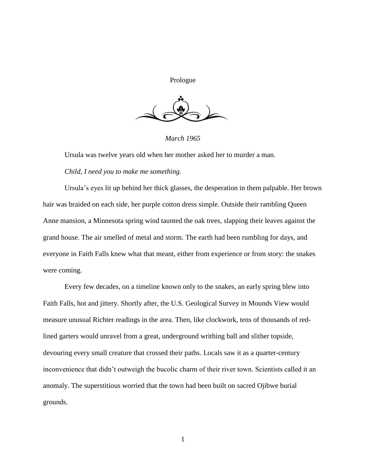Prologue



*March 1965*

Ursula was twelve years old when her mother asked her to murder a man.

## *Child, I need you to make me something.*

Ursula's eyes lit up behind her thick glasses, the desperation in them palpable. Her brown hair was braided on each side, her purple cotton dress simple. Outside their rambling Queen Anne mansion, a Minnesota spring wind taunted the oak trees, slapping their leaves against the grand house. The air smelled of metal and storm. The earth had been rumbling for days, and everyone in Faith Falls knew what that meant, either from experience or from story: the snakes were coming.

Every few decades, on a timeline known only to the snakes, an early spring blew into Faith Falls, hot and jittery. Shortly after, the U.S. Geological Survey in Mounds View would measure unusual Richter readings in the area. Then, like clockwork, tens of thousands of redlined garters would unravel from a great, underground writhing ball and slither topside, devouring every small creature that crossed their paths. Locals saw it as a quarter-century inconvenience that didn't outweigh the bucolic charm of their river town. Scientists called it an anomaly. The superstitious worried that the town had been built on sacred Ojibwe burial grounds.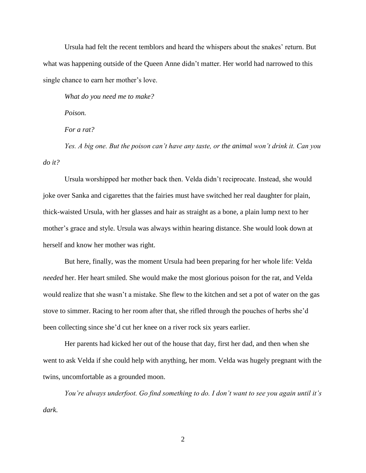Ursula had felt the recent temblors and heard the whispers about the snakes' return. But what was happening outside of the Queen Anne didn't matter. Her world had narrowed to this single chance to earn her mother's love.

*What do you need me to make?*

*Poison.*

*For a rat?*

*Yes. A big one. But the poison can't have any taste, or the animal won't drink it. Can you do it?*

Ursula worshipped her mother back then. Velda didn't reciprocate. Instead, she would joke over Sanka and cigarettes that the fairies must have switched her real daughter for plain, thick-waisted Ursula, with her glasses and hair as straight as a bone, a plain lump next to her mother's grace and style. Ursula was always within hearing distance. She would look down at herself and know her mother was right.

But here, finally, was the moment Ursula had been preparing for her whole life: Velda *needed* her. Her heart smiled. She would make the most glorious poison for the rat, and Velda would realize that she wasn't a mistake. She flew to the kitchen and set a pot of water on the gas stove to simmer. Racing to her room after that, she rifled through the pouches of herbs she'd been collecting since she'd cut her knee on a river rock six years earlier.

Her parents had kicked her out of the house that day, first her dad, and then when she went to ask Velda if she could help with anything, her mom. Velda was hugely pregnant with the twins, uncomfortable as a grounded moon.

*You're always underfoot. Go find something to do. I don't want to see you again until it's dark.*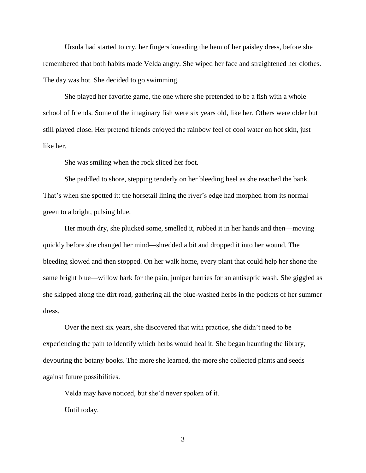Ursula had started to cry, her fingers kneading the hem of her paisley dress, before she remembered that both habits made Velda angry. She wiped her face and straightened her clothes. The day was hot. She decided to go swimming.

She played her favorite game, the one where she pretended to be a fish with a whole school of friends. Some of the imaginary fish were six years old, like her. Others were older but still played close. Her pretend friends enjoyed the rainbow feel of cool water on hot skin, just like her.

She was smiling when the rock sliced her foot.

She paddled to shore, stepping tenderly on her bleeding heel as she reached the bank. That's when she spotted it: the horsetail lining the river's edge had morphed from its normal green to a bright, pulsing blue.

Her mouth dry, she plucked some, smelled it, rubbed it in her hands and then—moving quickly before she changed her mind—shredded a bit and dropped it into her wound. The bleeding slowed and then stopped. On her walk home, every plant that could help her shone the same bright blue—willow bark for the pain, juniper berries for an antiseptic wash. She giggled as she skipped along the dirt road, gathering all the blue-washed herbs in the pockets of her summer dress.

Over the next six years, she discovered that with practice, she didn't need to be experiencing the pain to identify which herbs would heal it. She began haunting the library, devouring the botany books. The more she learned, the more she collected plants and seeds against future possibilities.

Velda may have noticed, but she'd never spoken of it. Until today.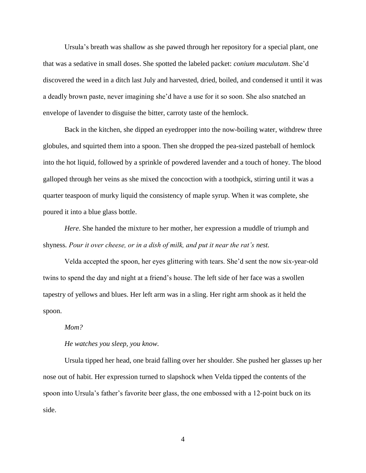Ursula's breath was shallow as she pawed through her repository for a special plant, one that was a sedative in small doses. She spotted the labeled packet: *conium maculutam*. She'd discovered the weed in a ditch last July and harvested, dried, boiled, and condensed it until it was a deadly brown paste, never imagining she'd have a use for it so soon. She also snatched an envelope of lavender to disguise the bitter, carroty taste of the hemlock.

Back in the kitchen, she dipped an eyedropper into the now-boiling water, withdrew three globules, and squirted them into a spoon. Then she dropped the pea-sized pasteball of hemlock into the hot liquid, followed by a sprinkle of powdered lavender and a touch of honey. The blood galloped through her veins as she mixed the concoction with a toothpick, stirring until it was a quarter teaspoon of murky liquid the consistency of maple syrup. When it was complete, she poured it into a blue glass bottle.

*Here*. She handed the mixture to her mother, her expression a muddle of triumph and shyness*. Pour it over cheese, or in a dish of milk, and put it near the rat's nest.*

Velda accepted the spoon, her eyes glittering with tears. She'd sent the now six-year-old twins to spend the day and night at a friend's house. The left side of her face was a swollen tapestry of yellows and blues. Her left arm was in a sling. Her right arm shook as it held the spoon.

## *Mom?*

#### *He watches you sleep, you know.*

Ursula tipped her head, one braid falling over her shoulder. She pushed her glasses up her nose out of habit. Her expression turned to slapshock when Velda tipped the contents of the spoon into Ursula's father's favorite beer glass, the one embossed with a 12-point buck on its side.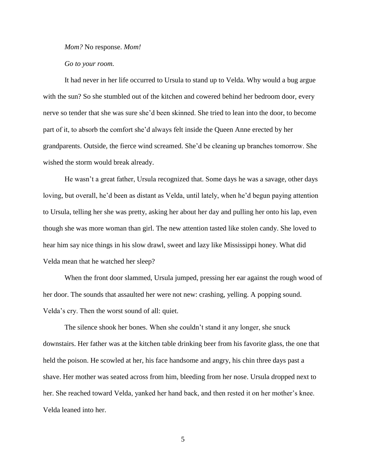*Mom?* No response. *Mom!*

*Go to your room.*

It had never in her life occurred to Ursula to stand up to Velda. Why would a bug argue with the sun? So she stumbled out of the kitchen and cowered behind her bedroom door, every nerve so tender that she was sure she'd been skinned. She tried to lean into the door, to become part of it, to absorb the comfort she'd always felt inside the Queen Anne erected by her grandparents. Outside, the fierce wind screamed. She'd be cleaning up branches tomorrow. She wished the storm would break already.

He wasn't a great father, Ursula recognized that. Some days he was a savage, other days loving, but overall, he'd been as distant as Velda, until lately, when he'd begun paying attention to Ursula, telling her she was pretty, asking her about her day and pulling her onto his lap, even though she was more woman than girl. The new attention tasted like stolen candy. She loved to hear him say nice things in his slow drawl, sweet and lazy like Mississippi honey. What did Velda mean that he watched her sleep?

When the front door slammed, Ursula jumped, pressing her ear against the rough wood of her door. The sounds that assaulted her were not new: crashing, yelling. A popping sound. Velda's cry. Then the worst sound of all: quiet.

The silence shook her bones. When she couldn't stand it any longer, she snuck downstairs. Her father was at the kitchen table drinking beer from his favorite glass, the one that held the poison. He scowled at her, his face handsome and angry, his chin three days past a shave. Her mother was seated across from him, bleeding from her nose. Ursula dropped next to her. She reached toward Velda, yanked her hand back, and then rested it on her mother's knee. Velda leaned into her.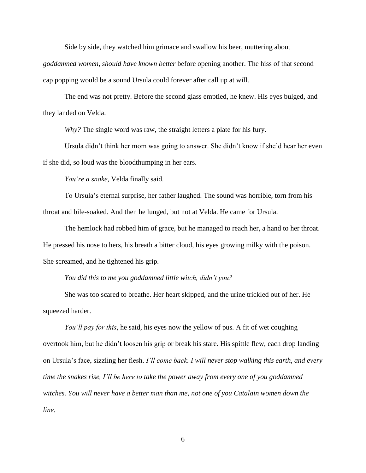Side by side, they watched him grimace and swallow his beer, muttering about

*goddamned women, should have known better* before opening another. The hiss of that second cap popping would be a sound Ursula could forever after call up at will.

The end was not pretty. Before the second glass emptied, he knew. His eyes bulged, and they landed on Velda.

*Why?* The single word was raw, the straight letters a plate for his fury.

Ursula didn't think her mom was going to answer. She didn't know if she'd hear her even if she did, so loud was the bloodthumping in her ears.

*You're a snake,* Velda finally said.

To Ursula's eternal surprise, her father laughed. The sound was horrible, torn from his throat and bile-soaked. And then he lunged, but not at Velda. He came for Ursula.

The hemlock had robbed him of grace, but he managed to reach her, a hand to her throat. He pressed his nose to hers, his breath a bitter cloud, his eyes growing milky with the poison. She screamed, and he tightened his grip.

# *You did this to me you goddamned little witch, didn't you?*

She was too scared to breathe. Her heart skipped, and the urine trickled out of her. He squeezed harder.

*You'll pay for this*, he said, his eyes now the yellow of pus*.* A fit of wet coughing overtook him, but he didn't loosen his grip or break his stare. His spittle flew, each drop landing on Ursula's face, sizzling her flesh. *I'll come back. I will never stop walking this earth, and every time the snakes rise, I'll be here to take the power away from every one of you goddamned witches. You will never have a better man than me, not one of you Catalain women down the line.*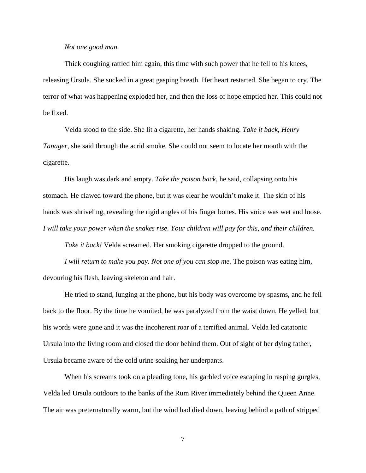### *Not one good man.*

Thick coughing rattled him again, this time with such power that he fell to his knees, releasing Ursula. She sucked in a great gasping breath. Her heart restarted. She began to cry. The terror of what was happening exploded her, and then the loss of hope emptied her. This could not be fixed.

Velda stood to the side. She lit a cigarette, her hands shaking. *Take it back*, *Henry Tanager*, she said through the acrid smoke. She could not seem to locate her mouth with the cigarette.

His laugh was dark and empty. *Take the poison back*, he said, collapsing onto his stomach. He clawed toward the phone, but it was clear he wouldn't make it. The skin of his hands was shriveling, revealing the rigid angles of his finger bones. His voice was wet and loose. *I will take your power when the snakes rise. Your children will pay for this, and their children.*

*Take it back!* Velda screamed. Her smoking cigarette dropped to the ground.

*I will return to make you pay. Not one of you can stop me.* The poison was eating him, devouring his flesh, leaving skeleton and hair.

He tried to stand, lunging at the phone, but his body was overcome by spasms, and he fell back to the floor. By the time he vomited, he was paralyzed from the waist down. He yelled, but his words were gone and it was the incoherent roar of a terrified animal. Velda led catatonic Ursula into the living room and closed the door behind them. Out of sight of her dying father, Ursula became aware of the cold urine soaking her underpants.

When his screams took on a pleading tone, his garbled voice escaping in rasping gurgles, Velda led Ursula outdoors to the banks of the Rum River immediately behind the Queen Anne. The air was preternaturally warm, but the wind had died down, leaving behind a path of stripped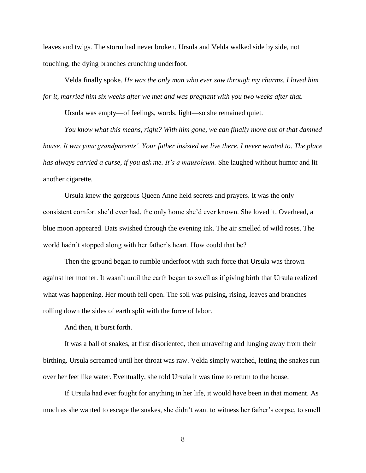leaves and twigs. The storm had never broken. Ursula and Velda walked side by side, not touching, the dying branches crunching underfoot.

Velda finally spoke. *He was the only man who ever saw through my charms. I loved him for it, married him six weeks after we met and was pregnant with you two weeks after that.*

Ursula was empty—of feelings, words, light—so she remained quiet.

*You know what this means, right? With him gone, we can finally move out of that damned house. It was your grandparents'. Your father insisted we live there. I never wanted to. The place has always carried a curse, if you ask me. It's a mausoleum.* She laughed without humor and lit another cigarette.

Ursula knew the gorgeous Queen Anne held secrets and prayers. It was the only consistent comfort she'd ever had, the only home she'd ever known. She loved it. Overhead, a blue moon appeared. Bats swished through the evening ink. The air smelled of wild roses. The world hadn't stopped along with her father's heart. How could that be?

Then the ground began to rumble underfoot with such force that Ursula was thrown against her mother. It wasn't until the earth began to swell as if giving birth that Ursula realized what was happening. Her mouth fell open. The soil was pulsing, rising, leaves and branches rolling down the sides of earth split with the force of labor.

And then, it burst forth.

It was a ball of snakes, at first disoriented, then unraveling and lunging away from their birthing. Ursula screamed until her throat was raw. Velda simply watched, letting the snakes run over her feet like water. Eventually, she told Ursula it was time to return to the house.

If Ursula had ever fought for anything in her life, it would have been in that moment. As much as she wanted to escape the snakes, she didn't want to witness her father's corpse, to smell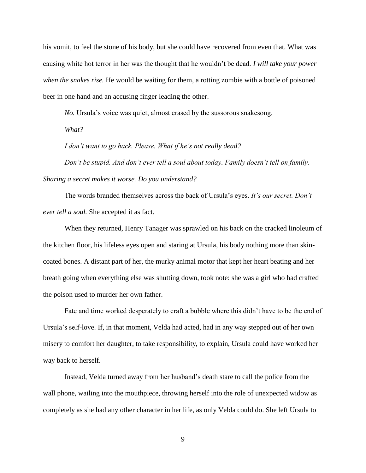his vomit, to feel the stone of his body, but she could have recovered from even that. What was causing white hot terror in her was the thought that he wouldn't be dead. *I will take your power when the snakes rise.* He would be waiting for them, a rotting zombie with a bottle of poisoned beer in one hand and an accusing finger leading the other.

*No.* Ursula's voice was quiet, almost erased by the sussorous snakesong.

*What?*

*I don't want to go back. Please. What if he's not really dead?*

*Don't be stupid. And don't ever tell a soul about today. Family doesn't tell on family. Sharing a secret makes it worse. Do you understand?*

The words branded themselves across the back of Ursula's eyes. *It's our secret. Don't ever tell a soul.* She accepted it as fact.

When they returned, Henry Tanager was sprawled on his back on the cracked linoleum of the kitchen floor, his lifeless eyes open and staring at Ursula, his body nothing more than skincoated bones. A distant part of her, the murky animal motor that kept her heart beating and her breath going when everything else was shutting down, took note: she was a girl who had crafted the poison used to murder her own father.

Fate and time worked desperately to craft a bubble where this didn't have to be the end of Ursula's self-love. If, in that moment, Velda had acted, had in any way stepped out of her own misery to comfort her daughter, to take responsibility, to explain, Ursula could have worked her way back to herself.

Instead, Velda turned away from her husband's death stare to call the police from the wall phone, wailing into the mouthpiece, throwing herself into the role of unexpected widow as completely as she had any other character in her life, as only Velda could do. She left Ursula to